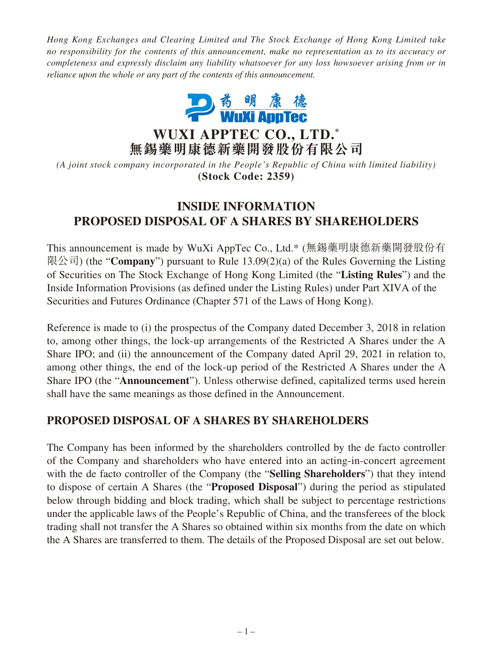*Hong Kong Exchanges and Clearing Limited and The Stock Exchange of Hong Kong Limited take no responsibility for the contents of this announcement, make no representation as to its accuracy or completeness and expressly disclaim any liability whatsoever for any loss howsoever arising from or in reliance upon the whole or any part of the contents of this announcement.*



**WUXI APPTEC CO., LTD. \* 無錫藥明康德新藥開發股份有限公司**

*(A joint stock company incorporated in the People's Republic of China with limited liability)* **(Stock Code: 2359)**

## **INSIDE INFORMATION PROPOSED DISPOSAL OF A SHARES BY SHAREHOLDERS**

This announcement is made by WuXi AppTec Co., Ltd.\* (無錫藥明康德新藥開發股份有 限公司) (the "**Company**") pursuant to Rule 13.09(2)(a) of the Rules Governing the Listing of Securities on The Stock Exchange of Hong Kong Limited (the "**Listing Rules**") and the Inside Information Provisions (as defined under the Listing Rules) under Part XIVA of the Securities and Futures Ordinance (Chapter 571 of the Laws of Hong Kong).

Reference is made to (i) the prospectus of the Company dated December 3, 2018 in relation to, among other things, the lock-up arrangements of the Restricted A Shares under the A Share IPO; and (ii) the announcement of the Company dated April 29, 2021 in relation to, among other things, the end of the lock-up period of the Restricted A Shares under the A Share IPO (the "**Announcement**"). Unless otherwise defined, capitalized terms used herein shall have the same meanings as those defined in the Announcement.

## **PROPOSED DISPOSAL OF A SHARES BY SHAREHOLDERS**

The Company has been informed by the shareholders controlled by the de facto controller of the Company and shareholders who have entered into an acting-in-concert agreement with the de facto controller of the Company (the "**Selling Shareholders**") that they intend to dispose of certain A Shares (the "**Proposed Disposal**") during the period as stipulated below through bidding and block trading, which shall be subject to percentage restrictions under the applicable laws of the People's Republic of China, and the transferees of the block trading shall not transfer the A Shares so obtained within six months from the date on which the A Shares are transferred to them. The details of the Proposed Disposal are set out below.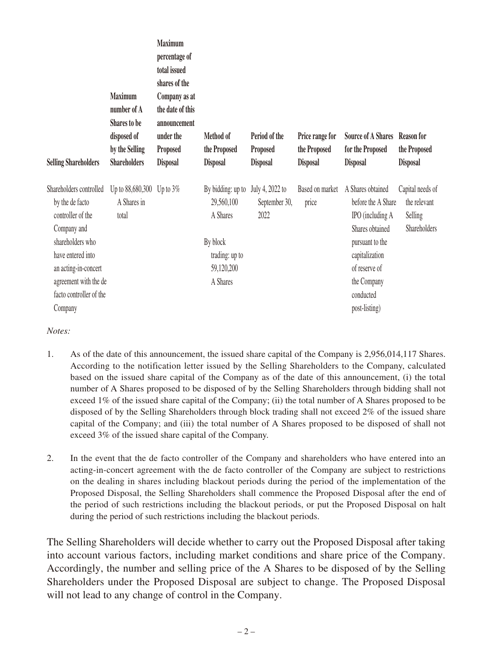| <b>Selling Shareholders</b>                                                                                                                                                                                    | <b>Maximum</b><br>number of A<br><b>Shares to be</b><br>disposed of<br>by the Selling<br><b>Shareholders</b> | <b>Maximum</b><br>percentage of<br>total issued<br>shares of the<br>Company as at<br>the date of this<br>announcement<br>under the<br>Proposed<br><b>Disposal</b> | Method of<br>the Proposed<br><b>Disposal</b>                                                        | Period of the<br>Proposed<br><b>Disposal</b> | Price range for<br>the Proposed<br><b>Disposal</b> | <b>Source of A Shares</b><br>for the Proposed<br><b>Disposal</b>                                                                                                                  | <b>Reason for</b><br>the Proposed<br><b>Disposal</b>        |
|----------------------------------------------------------------------------------------------------------------------------------------------------------------------------------------------------------------|--------------------------------------------------------------------------------------------------------------|-------------------------------------------------------------------------------------------------------------------------------------------------------------------|-----------------------------------------------------------------------------------------------------|----------------------------------------------|----------------------------------------------------|-----------------------------------------------------------------------------------------------------------------------------------------------------------------------------------|-------------------------------------------------------------|
| Shareholders controlled<br>by the de facto<br>controller of the<br>Company and<br>shareholders who<br>have entered into<br>an acting-in-concert<br>agreement with the de<br>facto controller of the<br>Company | Up to 88,680,300<br>A Shares in<br>total                                                                     | Up to $3\%$                                                                                                                                                       | By bidding: up to<br>29,560,100<br>A Shares<br>By block<br>trading: up to<br>59,120,200<br>A Shares | July 4, 2022 to<br>September 30,<br>2022     | Based on market<br>price                           | A Shares obtained<br>before the A Share<br>IPO (including A<br>Shares obtained<br>pursuant to the<br>capitalization<br>of reserve of<br>the Company<br>conducted<br>post-listing) | Capital needs of<br>the relevant<br>Selling<br>Shareholders |

## *Notes:*

- 1. As of the date of this announcement, the issued share capital of the Company is 2,956,014,117 Shares. According to the notification letter issued by the Selling Shareholders to the Company, calculated based on the issued share capital of the Company as of the date of this announcement, (i) the total number of A Shares proposed to be disposed of by the Selling Shareholders through bidding shall not exceed 1% of the issued share capital of the Company; (ii) the total number of A Shares proposed to be disposed of by the Selling Shareholders through block trading shall not exceed 2% of the issued share capital of the Company; and (iii) the total number of A Shares proposed to be disposed of shall not exceed 3% of the issued share capital of the Company.
- 2. In the event that the de facto controller of the Company and shareholders who have entered into an acting-in-concert agreement with the de facto controller of the Company are subject to restrictions on the dealing in shares including blackout periods during the period of the implementation of the Proposed Disposal, the Selling Shareholders shall commence the Proposed Disposal after the end of the period of such restrictions including the blackout periods, or put the Proposed Disposal on halt during the period of such restrictions including the blackout periods.

The Selling Shareholders will decide whether to carry out the Proposed Disposal after taking into account various factors, including market conditions and share price of the Company. Accordingly, the number and selling price of the A Shares to be disposed of by the Selling Shareholders under the Proposed Disposal are subject to change. The Proposed Disposal will not lead to any change of control in the Company.